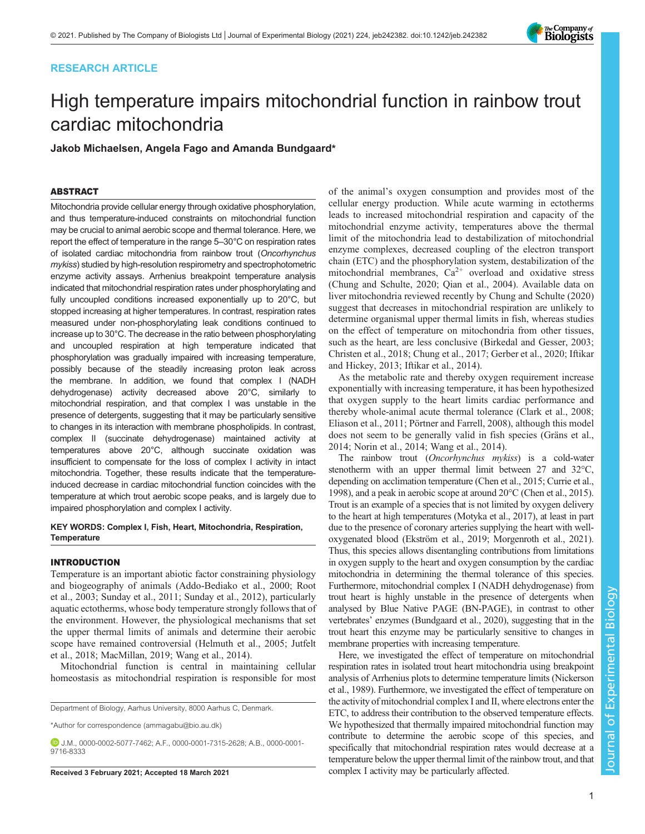# RESEARCH ARTICLE

# High temperature impairs mitochondrial function in rainbow trout cardiac mitochondria

Jakob Michaelsen, Angela Fago and Amanda Bundgaard\*

# ABSTRACT

Mitochondria provide cellular energy through oxidative phosphorylation, and thus temperature-induced constraints on mitochondrial function may be crucial to animal aerobic scope and thermal tolerance. Here, we report the effect of temperature in the range 5–30°C on respiration rates of isolated cardiac mitochondria from rainbow trout (Oncorhynchus mykiss) studied by high-resolution respirometry and spectrophotometric enzyme activity assays. Arrhenius breakpoint temperature analysis indicated that mitochondrial respiration rates under phosphorylating and fully uncoupled conditions increased exponentially up to 20°C, but stopped increasing at higher temperatures. In contrast, respiration rates measured under non-phosphorylating leak conditions continued to increase up to 30°C. The decrease in the ratio between phosphorylating and uncoupled respiration at high temperature indicated that phosphorylation was gradually impaired with increasing temperature, possibly because of the steadily increasing proton leak across the membrane. In addition, we found that complex I (NADH dehydrogenase) activity decreased above 20°C, similarly to mitochondrial respiration, and that complex I was unstable in the presence of detergents, suggesting that it may be particularly sensitive to changes in its interaction with membrane phospholipids. In contrast, complex II (succinate dehydrogenase) maintained activity at temperatures above 20°C, although succinate oxidation was insufficient to compensate for the loss of complex I activity in intact mitochondria. Together, these results indicate that the temperatureinduced decrease in cardiac mitochondrial function coincides with the temperature at which trout aerobic scope peaks, and is largely due to impaired phosphorylation and complex I activity.

## KEY WORDS: Complex I, Fish, Heart, Mitochondria, Respiration, **Temperature**

## INTRODUCTION

Temperature is an important abiotic factor constraining physiology and biogeography of animals ([Addo-Bediako et al., 2000](#page-5-0); [Root](#page-6-0) [et al., 2003; Sunday et al., 2011; Sunday et al., 2012\)](#page-6-0), particularly aquatic ectotherms, whose body temperature strongly follows that of the environment. However, the physiological mechanisms that set the upper thermal limits of animals and determine their aerobic scope have remained controversial ([Helmuth et al., 2005](#page-6-0); [Jutfelt](#page-6-0) [et al., 2018; MacMillan, 2019; Wang et al., 2014](#page-6-0)).

Mitochondrial function is central in maintaining cellular homeostasis as mitochondrial respiration is responsible for most

Department of Biology, Aarhus University, 8000 Aarhus C, Denmark.

\*Author for correspondence [\(ammagabu@bio.au.dk](mailto:ammagabu@bio.au.dk))

J.M., [0000-0002-5077-7462;](http://orcid.org/0000-0002-5077-7462) A.F., [0000-0001-7315-2628](http://orcid.org/0000-0001-7315-2628); A.B., [0000-0001-](http://orcid.org/0000-0001-9716-8333) [9716-8333](http://orcid.org/0000-0001-9716-8333)

of the animal's oxygen consumption and provides most of the cellular energy production. While acute warming in ectotherms leads to increased mitochondrial respiration and capacity of the mitochondrial enzyme activity, temperatures above the thermal limit of the mitochondria lead to destabilization of mitochondrial enzyme complexes, decreased coupling of the electron transport chain (ETC) and the phosphorylation system, destabilization of the mitochondrial membranes,  $Ca^{2+}$  overload and oxidative stress [\(Chung and Schulte, 2020](#page-6-0); [Qian et al., 2004\)](#page-6-0). Available data on liver mitochondria reviewed recently by [Chung and Schulte \(2020\)](#page-6-0) suggest that decreases in mitochondrial respiration are unlikely to determine organismal upper thermal limits in fish, whereas studies on the effect of temperature on mitochondria from other tissues, such as the heart, are less conclusive [\(Birkedal and Gesser, 2003](#page-6-0); [Christen et al., 2018; Chung et al., 2017](#page-6-0); [Gerber et al., 2020; Iftikar](#page-6-0) [and Hickey, 2013](#page-6-0); [Iftikar et al., 2014\)](#page-6-0).

As the metabolic rate and thereby oxygen requirement increase exponentially with increasing temperature, it has been hypothesized that oxygen supply to the heart limits cardiac performance and thereby whole-animal acute thermal tolerance ([Clark et al., 2008](#page-6-0); [Eliason et al., 2011; Pörtner and Farrell, 2008\)](#page-6-0), although this model does not seem to be generally valid in fish species [\(Gräns et al.,](#page-6-0) [2014; Norin et al., 2014; Wang et al., 2014](#page-6-0)).

The rainbow trout (Oncorhynchus mykiss) is a cold-water stenotherm with an upper thermal limit between 27 and 32°C, depending on acclimation temperature [\(Chen et al., 2015](#page-6-0); [Currie et al.,](#page-6-0) [1998](#page-6-0)), and a peak in aerobic scope at around 20°C ([Chen et al., 2015\)](#page-6-0). Trout is an example of a species that is not limited by oxygen delivery to the heart at high temperatures [\(Motyka et al., 2017\)](#page-6-0), at least in part due to the presence of coronary arteries supplying the heart with welloxygenated blood [\(Ekström et al., 2019](#page-6-0); [Morgenroth et al., 2021\)](#page-6-0). Thus, this species allows disentangling contributions from limitations in oxygen supply to the heart and oxygen consumption by the cardiac mitochondria in determining the thermal tolerance of this species. Furthermore, mitochondrial complex I (NADH dehydrogenase) from trout heart is highly unstable in the presence of detergents when analysed by Blue Native PAGE (BN-PAGE), in contrast to other vertebrates' enzymes [\(Bundgaard et al., 2020\)](#page-6-0), suggesting that in the trout heart this enzyme may be particularly sensitive to changes in membrane properties with increasing temperature.

Here, we investigated the effect of temperature on mitochondrial respiration rates in isolated trout heart mitochondria using breakpoint analysis of Arrhenius plots to determine temperature limits [\(Nickerson](#page-6-0) [et al., 1989\)](#page-6-0). Furthermore, we investigated the effect of temperature on the activity of mitochondrial complex I and II, where electrons enter the ETC, to address their contribution to the observed temperature effects. We hypothesized that thermally impaired mitochondrial function may contribute to determine the aerobic scope of this species, and specifically that mitochondrial respiration rates would decrease at a temperature below the upper thermal limit of the rainbow trout, and that Received 3 February 2021; Accepted 18 March 2021 complex I activity may be particularly affected.

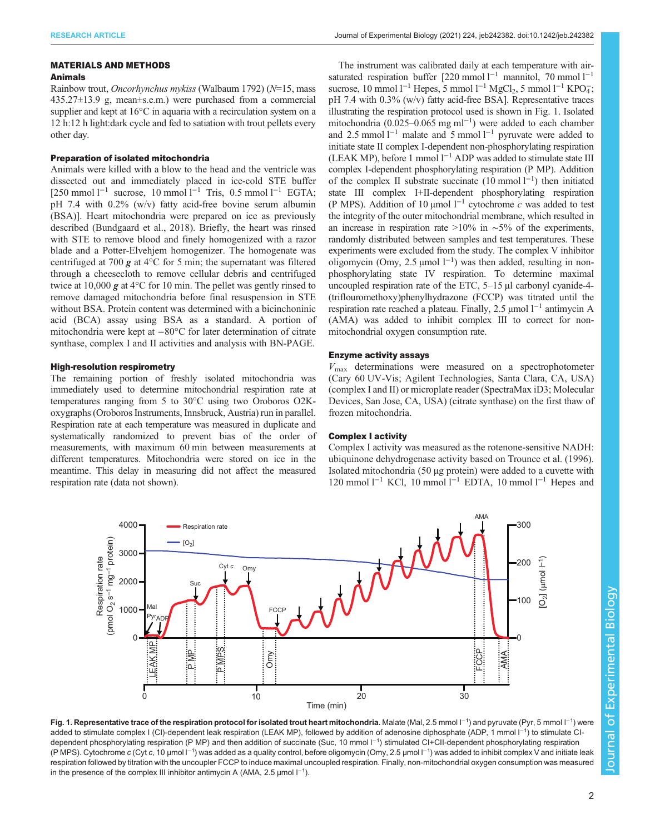# MATERIALS AND METHODS

## Animals

Rainbow trout, Oncorhynchus mykiss (Walbaum 1792) (N=15, mass 435.27±13.9 g, mean±s.e.m.) were purchased from a commercial supplier and kept at 16°C in aquaria with a recirculation system on a 12 h:12 h light:dark cycle and fed to satiation with trout pellets every other day.

#### Preparation of isolated mitochondria

Animals were killed with a blow to the head and the ventricle was dissected out and immediately placed in ice-cold STE buffer [250 mmol l<sup>−1</sup> sucrose, 10 mmol l<sup>−1</sup> Tris, 0.5 mmol l<sup>−1</sup> EGTA; pH 7.4 with 0.2% (w/v) fatty acid-free bovine serum albumin (BSA)]. Heart mitochondria were prepared on ice as previously described ([Bundgaard et al., 2018](#page-6-0)). Briefly, the heart was rinsed with STE to remove blood and finely homogenized with a razor blade and a Potter-Elvehjem homogenizer. The homogenate was centrifuged at 700  $g$  at 4 $\degree$ C for 5 min; the supernatant was filtered through a cheesecloth to remove cellular debris and centrifuged twice at 10,000  $g$  at 4 $\degree$ C for 10 min. The pellet was gently rinsed to remove damaged mitochondria before final resuspension in STE without BSA. Protein content was determined with a bicinchoninic acid (BCA) assay using BSA as a standard. A portion of mitochondria were kept at −80°C for later determination of citrate synthase, complex I and II activities and analysis with BN-PAGE.

### High-resolution respirometry

The remaining portion of freshly isolated mitochondria was immediately used to determine mitochondrial respiration rate at temperatures ranging from 5 to 30°C using two Oroboros O2Koxygraphs (Oroboros Instruments, Innsbruck, Austria) run in parallel. Respiration rate at each temperature was measured in duplicate and systematically randomized to prevent bias of the order of measurements, with maximum 60 min between measurements at different temperatures. Mitochondria were stored on ice in the meantime. This delay in measuring did not affect the measured respiration rate (data not shown).

The instrument was calibrated daily at each temperature with airsaturated respiration buffer [220 mmol l<sup>−1</sup> mannitol, 70 mmol l<sup>−1</sup> sucrose, 10 mmol l<sup>-1</sup> Hepes, 5 mmol l<sup>-1</sup> MgCl<sub>2</sub>, 5 mmol l<sup>-1</sup> KPO<sub>4</sub>; pH 7.4 with 0.3% (w/v) fatty acid-free BSA]. Representative traces illustrating the respiration protocol used is shown in Fig. 1. Isolated mitochondria (0.025–0.065 mg ml<sup>-1</sup>) were added to each chamber and 2.5 mmol  $l^{-1}$  malate and 5 mmol  $l^{-1}$  pyruvate were added to initiate state II complex I-dependent non-phosphorylating respiration (LEAK MP), before 1 mmol l−<sup>1</sup> ADP was added to stimulate state III complex I-dependent phosphorylating respiration (P MP). Addition of the complex II substrate succinate (10 mmol l−<sup>1</sup> ) then initiated state III complex I+II-dependent phosphorylating respiration (P MPS). Addition of 10 µmol  $l^{-1}$  cytochrome c was added to test the integrity of the outer mitochondrial membrane, which resulted in an increase in respiration rate >10% in ∼5% of the experiments, randomly distributed between samples and test temperatures. These experiments were excluded from the study. The complex V inhibitor oligomycin (Omy, 2.5 µmol  $1^{-1}$ ) was then added, resulting in nonphosphorylating state IV respiration. To determine maximal uncoupled respiration rate of the ETC, 5–15 µl carbonyl cyanide-4- (triflouromethoxy)phenylhydrazone (FCCP) was titrated until the respiration rate reached a plateau. Finally, 2.5 µmol l−<sup>1</sup> antimycin A (AMA) was added to inhibit complex III to correct for nonmitochondrial oxygen consumption rate.

### Enzyme activity assays

 $V_{\text{max}}$  determinations were measured on a spectrophotometer (Cary 60 UV-Vis; Agilent Technologies, Santa Clara, CA, USA) (complex I and II) or microplate reader (SpectraMax iD3; Molecular Devices, San Jose, CA, USA) (citrate synthase) on the first thaw of frozen mitochondria.

## Complex I activity

Complex I activity was measured as the rotenone-sensitive NADH: ubiquinone dehydrogenase activity based on [Trounce et al. \(1996\).](#page-6-0) Isolated mitochondria (50 µg protein) were added to a cuvette with 120 mmol  $l^{-1}$  KCl, 10 mmol  $l^{-1}$  EDTA, 10 mmol  $l^{-1}$  Hepes and



Fig. 1. Representative trace of the respiration protocol for isolated trout heart mitochondria. Malate (Mal, 2.5 mmol l<sup>−1</sup>) and pyruvate (Pyr, 5 mmol l<sup>−1</sup>) were added to stimulate complex I (CI)-dependent leak respiration (LEAK MP), followed by addition of adenosine diphosphate (ADP, 1 mmol l<sup>−1</sup>) to stimulate CIdependent phosphorylating respiration (P MP) and then addition of succinate (Suc, 10 mmol l<sup>−1</sup>) stimulated CI+CII-dependent phosphorylating respiration (PMPS). Cytochrome c (Cyt c, 10 µmol l<sup>-1</sup>) was added as a quality control, before oligomycin (Omy, 2.5 µmol l<sup>-1</sup>) was added to inhibit complex V and initiate leak respiration followed by titration with the uncoupler FCCP to induce maximal uncoupled respiration. Finally, non-mitochondrial oxygen consumption was measured in the presence of the complex III inhibitor antimycin A (AMA, 2.5 µmol  $I^{-1}$ ).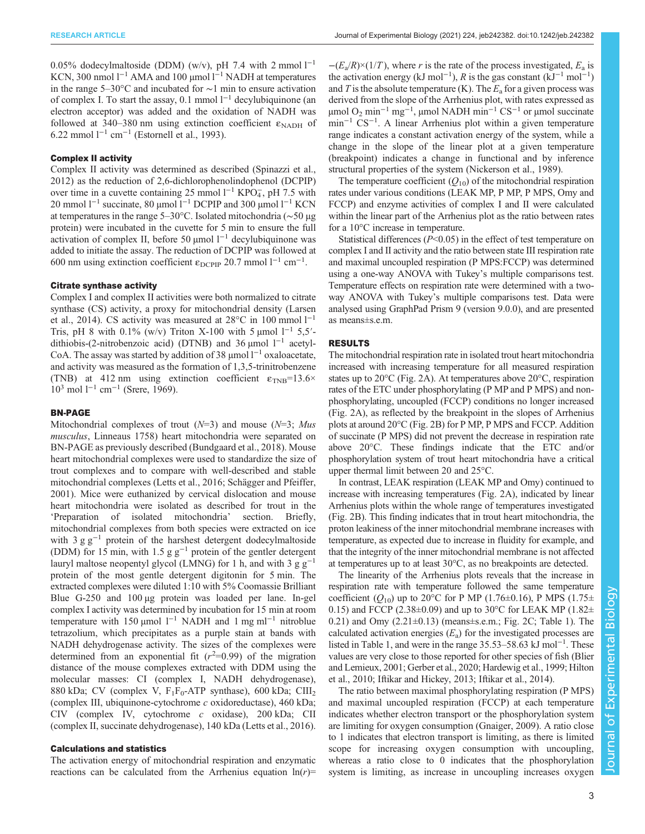0.05% dodecylmaltoside (DDM) (w/v), pH 7.4 with 2 mmol  $l^{-1}$ KCN, 300 nmol l<sup>-1</sup> AMA and 100 µmol l<sup>-1</sup> NADH at temperatures in the range 5–30°C and incubated for ∼1 min to ensure activation of complex I. To start the assay, 0.1 mmol l<sup>−1</sup> decylubiquinone (an electron acceptor) was added and the oxidation of NADH was followed at 340–380 nm using extinction coefficient  $\varepsilon_{\text{NADH}}$  of 6.22 mmol  $l^{-1}$  cm<sup>-1</sup> ([Estornell et al., 1993\)](#page-6-0).

## Complex II activity

Complex II activity was determined as described ([Spinazzi et al.,](#page-6-0) [2012](#page-6-0)) as the reduction of 2,6-dichlorophenolindophenol (DCPIP) over time in a cuvette containing 25 mmol l<sup>-1</sup> KPO<sub>4</sub>, pH 7.5 with 20 mmol  $l^{-1}$  succinate, 80 µmol  $l^{-1}$  DCPIP and 300 µmol  $l^{-1}$  KCN at temperatures in the range 5–30°C. Isolated mitochondria (∼50 µg protein) were incubated in the cuvette for 5 min to ensure the full activation of complex II, before 50 µmol  $l^{-1}$  decylubiquinone was added to initiate the assay. The reduction of DCPIP was followed at 600 nm using extinction coefficient  $\varepsilon_{\text{DCPIP}}$  20.7 mmol  $l^{-1}$  cm<sup>-1</sup>.

#### Citrate synthase activity

Complex I and complex II activities were both normalized to citrate synthase (CS) activity, a proxy for mitochondrial density [\(Larsen](#page-6-0) [et al., 2014](#page-6-0)). CS activity was measured at 28 $^{\circ}$ C in 100 mmol l<sup>-1</sup> Tris, pH 8 with 0.1% (w/v) Triton X-100 with 5 µmol  $1^{-1}$  5,5′dithiobis-(2-nitrobenzoic acid) (DTNB) and 36 µmol l−<sup>1</sup> acetyl-CoA. The assay was started by addition of 38 µmol  $l^{-1}$  oxaloacetate, and activity was measured as the formation of 1,3,5-trinitrobenzene (TNB) at 412 nm using extinction coefficient  $\varepsilon_{TNR}=13.6\times$ 103 mol l−<sup>1</sup> cm−<sup>1</sup> [\(Srere, 1969\)](#page-6-0).

## BN-PAGE

Mitochondrial complexes of trout  $(N=3)$  and mouse  $(N=3)$ ; Mus musculus, Linneaus 1758) heart mitochondria were separated on BN-PAGE as previously described ([Bundgaard et al., 2018\)](#page-6-0). Mouse heart mitochondrial complexes were used to standardize the size of trout complexes and to compare with well-described and stable mitochondrial complexes ([Letts et al., 2016](#page-6-0); [Schägger and Pfeiffer,](#page-6-0) [2001](#page-6-0)). Mice were euthanized by cervical dislocation and mouse heart mitochondria were isolated as described for trout in the 'Preparation of isolated mitochondria' section. Briefly, mitochondrial complexes from both species were extracted on ice with 3  $g g^{-1}$  protein of the harshest detergent dodecylmaltoside (DDM) for 15 min, with 1.5 g g−<sup>1</sup> protein of the gentler detergent lauryl maltose neopentyl glycol (LMNG) for 1 h, and with 3 g  $g^{-1}$ protein of the most gentle detergent digitonin for 5 min. The extracted complexes were diluted 1:10 with 5% Coomassie Brilliant Blue G-250 and 100 µg protein was loaded per lane. In-gel complex I activity was determined by incubation for 15 min at room temperature with 150 µmol  $1^{-1}$  NADH and 1 mg ml<sup>-1</sup> nitroblue tetrazolium, which precipitates as a purple stain at bands with NADH dehydrogenase activity. The sizes of the complexes were determined from an exponential fit  $(r^2=0.99)$  of the migration distance of the mouse complexes extracted with DDM using the molecular masses: CI (complex I, NADH dehydrogenase), 880 kDa; CV (complex V,  $F_1F_0$ -ATP synthase), 600 kDa; CIII<sub>2</sub> (complex III, ubiquinone-cytochrome c oxidoreductase), 460 kDa; CIV (complex IV, cytochrome c oxidase), 200 kDa; CII (complex II, succinate dehydrogenase), 140 kDa [\(Letts et al., 2016\)](#page-6-0).

#### Calculations and statistics

The activation energy of mitochondrial respiration and enzymatic reactions can be calculated from the Arrhenius equation  $ln(r)$ =

 $-(E_a/R)\times(1/T)$ , where r is the rate of the process investigated,  $E_a$  is the activation energy (kJ mol<sup>-1</sup>), R is the gas constant (kJ<sup>-1</sup> mol<sup>-1</sup>) and T is the absolute temperature (K). The  $E_a$  for a given process was derived from the slope of the Arrhenius plot, with rates expressed as µmol O<sub>2</sub> min<sup>-1</sup> mg<sup>-1</sup>, µmol NADH min<sup>-1</sup> CS<sup>-1</sup> or µmol succinate min<sup>-1</sup> CS<sup>-1</sup>. A linear Arrhenius plot within a given temperature range indicates a constant activation energy of the system, while a change in the slope of the linear plot at a given temperature (breakpoint) indicates a change in functional and by inference structural properties of the system ([Nickerson et al., 1989](#page-6-0)).

The temperature coefficient  $(Q_{10})$  of the mitochondrial respiration rates under various conditions (LEAK MP, P MP, P MPS, Omy and FCCP) and enzyme activities of complex I and II were calculated within the linear part of the Arrhenius plot as the ratio between rates for a 10°C increase in temperature.

Statistical differences  $(P<0.05)$  in the effect of test temperature on complex I and II activity and the ratio between state III respiration rate and maximal uncoupled respiration (P MPS:FCCP) was determined using a one-way ANOVA with Tukey's multiple comparisons test. Temperature effects on respiration rate were determined with a twoway ANOVA with Tukey's multiple comparisons test. Data were analysed using GraphPad Prism 9 (version 9.0.0), and are presented as means±s.e.m.

# RESULTS

The mitochondrial respiration rate in isolated trout heart mitochondria increased with increasing temperature for all measured respiration states up to 20°C [\(Fig. 2](#page-3-0)A). At temperatures above 20°C, respiration rates of the ETC under phosphorylating (P MP and P MPS) and nonphosphorylating, uncoupled (FCCP) conditions no longer increased [\(Fig. 2](#page-3-0)A), as reflected by the breakpoint in the slopes of Arrhenius plots at around 20°C ([Fig. 2](#page-3-0)B) for P MP, P MPS and FCCP. Addition of succinate (P MPS) did not prevent the decrease in respiration rate above 20°C. These findings indicate that the ETC and/or phosphorylation system of trout heart mitochondria have a critical upper thermal limit between 20 and 25°C.

In contrast, LEAK respiration (LEAK MP and Omy) continued to increase with increasing temperatures [\(Fig. 2](#page-3-0)A), indicated by linear Arrhenius plots within the whole range of temperatures investigated [\(Fig. 2B](#page-3-0)). This finding indicates that in trout heart mitochondria, the proton leakiness of the inner mitochondrial membrane increases with temperature, as expected due to increase in fluidity for example, and that the integrity of the inner mitochondrial membrane is not affected at temperatures up to at least 30°C, as no breakpoints are detected.

The linearity of the Arrhenius plots reveals that the increase in respiration rate with temperature followed the same temperature coefficient  $(Q_{10})$  up to 20°C for P MP (1.76±0.16), P MPS (1.75± 0.15) and FCCP (2.38 $\pm$ 0.09) and up to 30°C for LEAK MP (1.82 $\pm$ 0.21) and Omy  $(2.21 \pm 0.13)$  (means ts.e.m.; [Fig. 2C](#page-3-0); [Table 1](#page-3-0)). The calculated activation energies  $(E_a)$  for the investigated processes are listed in [Table 1,](#page-3-0) and were in the range 35.53–58.63 kJ mol−<sup>1</sup> . These values are very close to those reported for other species of fish ([Blier](#page-6-0) [and Lemieux, 2001; Gerber et al., 2020](#page-6-0); [Hardewig et al., 1999](#page-6-0); [Hilton](#page-6-0) [et al., 2010; Iftikar and Hickey, 2013; Iftikar et al., 2014](#page-6-0)).

The ratio between maximal phosphorylating respiration (P MPS) and maximal uncoupled respiration (FCCP) at each temperature indicates whether electron transport or the phosphorylation system are limiting for oxygen consumption ([Gnaiger, 2009\)](#page-6-0). A ratio close to 1 indicates that electron transport is limiting, as there is limited scope for increasing oxygen consumption with uncoupling, whereas a ratio close to 0 indicates that the phosphorylation system is limiting, as increase in uncoupling increases oxygen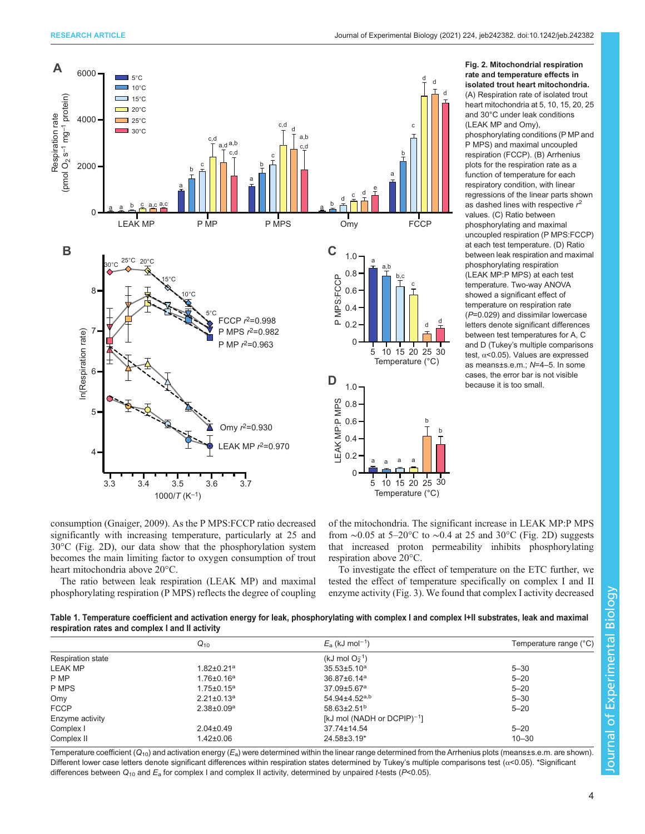<span id="page-3-0"></span>

#### Fig. 2. Mitochondrial respiration rate and temperature effects in isolated trout heart mitochondria. (A) Respiration rate of isolated trout heart mitochondria at 5, 10, 15, 20, 25 and 30°C under leak conditions

(LEAK MP and Omy), phosphorylating conditions (P MP and P MPS) and maximal uncoupled respiration (FCCP). (B) Arrhenius plots for the respiration rate as a function of temperature for each respiratory condition, with linear regressions of the linear parts shown as dashed lines with respective  $r^2$ values. (C) Ratio between phosphorylating and maximal uncoupled respiration (P MPS:FCCP) at each test temperature. (D) Ratio between leak respiration and maximal phosphorylating respiration (LEAK MP:P MPS) at each test temperature. Two-way ANOVA showed a significant effect of temperature on respiration rate (P=0.029) and dissimilar lowercase letters denote significant differences between test temperatures for A, C and D (Tukey's multiple comparisons test,  $\alpha$ <0.05). Values are expressed as means±s.e.m.; N=4–5. In some cases, the error bar is not visible because it is too small.

consumption [\(Gnaiger, 2009](#page-6-0)). As the P MPS:FCCP ratio decreased significantly with increasing temperature, particularly at 25 and 30°C (Fig. 2D), our data show that the phosphorylation system becomes the main limiting factor to oxygen consumption of trout heart mitochondria above 20°C.

The ratio between leak respiration (LEAK MP) and maximal phosphorylating respiration (P MPS) reflects the degree of coupling of the mitochondria. The significant increase in LEAK MP:P MPS from ~0.05 at 5–20°C to ~0.4 at 25 and 30°C (Fig. 2D) suggests that increased proton permeability inhibits phosphorylating respiration above 20°C.

To investigate the effect of temperature on the ETC further, we tested the effect of temperature specifically on complex I and II enzyme activity ([Fig. 3](#page-4-0)). We found that complex I activity decreased

Table 1. Temperature coefficient and activation energy for leak, phosphorylating with complex I and complex I+II substrates, leak and maximal respiration rates and complex I and II activity

|                          | $Q_{10}$                     | $E_{\rm a}$ (kJ mol <sup>-1</sup> ) | Temperature range (°C) |
|--------------------------|------------------------------|-------------------------------------|------------------------|
| <b>Respiration state</b> |                              | (kJ mol $O2-1$ )                    |                        |
| <b>LEAK MP</b>           | $1.82 \pm 0.21$ <sup>a</sup> | $35.53 \pm 5.10^a$                  | $5 - 30$               |
| P MP                     | $1.76 \pm 0.16^a$            | 36.87±6.14ª                         | $5 - 20$               |
| P MPS                    | $1.75 \pm 0.15^a$            | $37.09 \pm 5.67$ <sup>a</sup>       | $5 - 20$               |
| Omy                      | $2.21 \pm 0.13$ <sup>a</sup> | $54.94 \pm 4.52$ <sup>a,b</sup>     | $5 - 30$               |
| <b>FCCP</b>              | $2.38 \pm 0.09^a$            | $58.63 \pm 2.51$ <sup>b</sup>       | $5 - 20$               |
| Enzyme activity          |                              | [kJ mol (NADH or DCPIP) $^{-1}$ ]   |                        |
| Complex I                | $2.04 \pm 0.49$              | 37.74±14.54                         | $5 - 20$               |
| Complex II               | $1.42 \pm 0.06$              | 24.58±3.19*                         | $10 - 30$              |

Temperature coefficient ( $Q_{10}$ ) and activation energy ( $E_a$ ) were determined within the linear range determined from the Arrhenius plots (means±s.e.m. are shown). Different lower case letters denote significant differences within respiration states determined by Tukey's multiple comparisons test ( $\alpha$ <0.05). \*Significant differences between  $Q_{10}$  and  $E_a$  for complex I and complex II activity, determined by unpaired t-tests (P<0.05).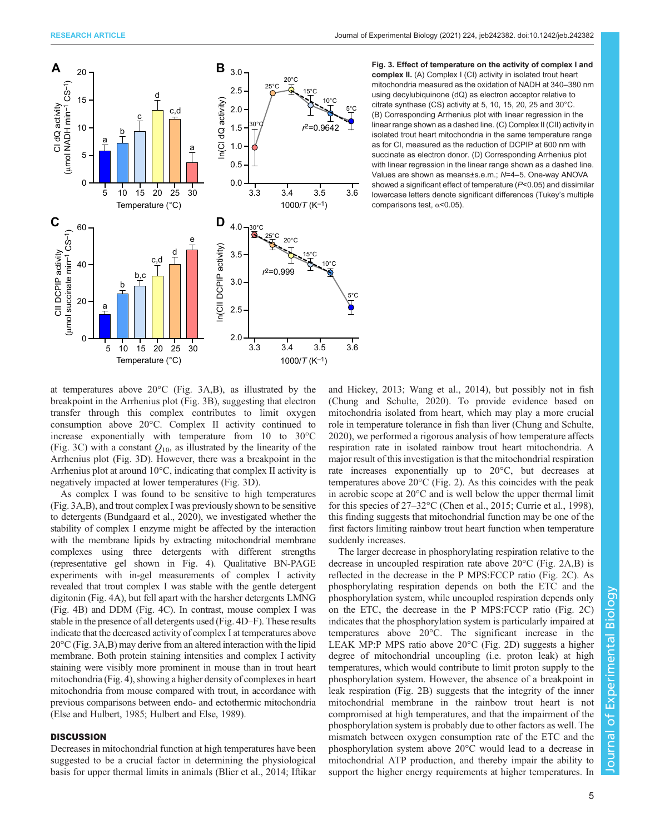<span id="page-4-0"></span>

Fig. 3. Effect of temperature on the activity of complex I and complex II. (A) Complex I (CI) activity in isolated trout heart mitochondria measured as the oxidation of NADH at 340–380 nm using decylubiquinone (dQ) as electron acceptor relative to citrate synthase (CS) activity at 5, 10, 15, 20, 25 and 30°C. (B) Corresponding Arrhenius plot with linear regression in the linear range shown as a dashed line. (C) Complex II (CII) activity in isolated trout heart mitochondria in the same temperature range as for CI, measured as the reduction of DCPIP at 600 nm with succinate as electron donor. (D) Corresponding Arrhenius plot with linear regression in the linear range shown as a dashed line. Values are shown as means±s.e.m.; N=4–5. One-way ANOVA showed a significant effect of temperature (P<0.05) and dissimilar lowercase letters denote significant differences (Tukey's multiple comparisons test,  $\alpha$ <0.05).

at temperatures above 20°C (Fig. 3A,B), as illustrated by the breakpoint in the Arrhenius plot (Fig. 3B), suggesting that electron transfer through this complex contributes to limit oxygen consumption above 20°C. Complex II activity continued to increase exponentially with temperature from 10 to 30°C (Fig. 3C) with a constant  $Q_{10}$ , as illustrated by the linearity of the Arrhenius plot (Fig. 3D). However, there was a breakpoint in the Arrhenius plot at around 10°C, indicating that complex II activity is negatively impacted at lower temperatures (Fig. 3D).

As complex I was found to be sensitive to high temperatures (Fig. 3A,B), and trout complex I was previously shown to be sensitive to detergents ([Bundgaard et al., 2020\)](#page-6-0), we investigated whether the stability of complex I enzyme might be affected by the interaction with the membrane lipids by extracting mitochondrial membrane complexes using three detergents with different strengths (representative gel shown in [Fig. 4\)](#page-5-0). Qualitative BN-PAGE experiments with in-gel measurements of complex I activity revealed that trout complex I was stable with the gentle detergent digitonin [\(Fig. 4](#page-5-0)A), but fell apart with the harsher detergents LMNG [\(Fig. 4B](#page-5-0)) and DDM [\(Fig. 4](#page-5-0)C). In contrast, mouse complex I was stable in the presence of all detergents used ([Fig. 4D](#page-5-0)–F). These results indicate that the decreased activity of complex I at temperatures above 20°C (Fig. 3A,B) may derive from an altered interaction with the lipid membrane. Both protein staining intensities and complex I activity staining were visibly more prominent in mouse than in trout heart mitochondria ([Fig. 4\)](#page-5-0), showing a higher density of complexes in heart mitochondria from mouse compared with trout, in accordance with previous comparisons between endo- and ectothermic mitochondria [\(Else and Hulbert, 1985](#page-6-0); [Hulbert and Else, 1989](#page-6-0)).

## **DISCUSSION**

Decreases in mitochondrial function at high temperatures have been suggested to be a crucial factor in determining the physiological basis for upper thermal limits in animals ([Blier et al., 2014](#page-6-0); [Iftikar](#page-6-0)

[and Hickey, 2013](#page-6-0); [Wang et al., 2014\)](#page-6-0), but possibly not in fish [\(Chung and Schulte, 2020](#page-6-0)). To provide evidence based on mitochondria isolated from heart, which may play a more crucial role in temperature tolerance in fish than liver [\(Chung and Schulte,](#page-6-0) [2020\)](#page-6-0), we performed a rigorous analysis of how temperature affects respiration rate in isolated rainbow trout heart mitochondria. A major result of this investigation is that the mitochondrial respiration rate increases exponentially up to 20°C, but decreases at temperatures above 20°C [\(Fig. 2\)](#page-3-0). As this coincides with the peak in aerobic scope at 20°C and is well below the upper thermal limit for this species of 27–32°C [\(Chen et al., 2015](#page-6-0); [Currie et al., 1998\)](#page-6-0), this finding suggests that mitochondrial function may be one of the first factors limiting rainbow trout heart function when temperature suddenly increases.

The larger decrease in phosphorylating respiration relative to the decrease in uncoupled respiration rate above 20°C ([Fig. 2A](#page-3-0),B) is reflected in the decrease in the P MPS:FCCP ratio [\(Fig. 2](#page-3-0)C). As phosphorylating respiration depends on both the ETC and the phosphorylation system, while uncoupled respiration depends only on the ETC, the decrease in the P MPS:FCCP ratio [\(Fig. 2C](#page-3-0)) indicates that the phosphorylation system is particularly impaired at temperatures above 20°C. The significant increase in the LEAK MP:P MPS ratio above 20°C [\(Fig. 2D](#page-3-0)) suggests a higher degree of mitochondrial uncoupling (i.e. proton leak) at high temperatures, which would contribute to limit proton supply to the phosphorylation system. However, the absence of a breakpoint in leak respiration ([Fig. 2](#page-3-0)B) suggests that the integrity of the inner mitochondrial membrane in the rainbow trout heart is not compromised at high temperatures, and that the impairment of the phosphorylation system is probably due to other factors as well. The mismatch between oxygen consumption rate of the ETC and the phosphorylation system above 20°C would lead to a decrease in mitochondrial ATP production, and thereby impair the ability to support the higher energy requirements at higher temperatures. In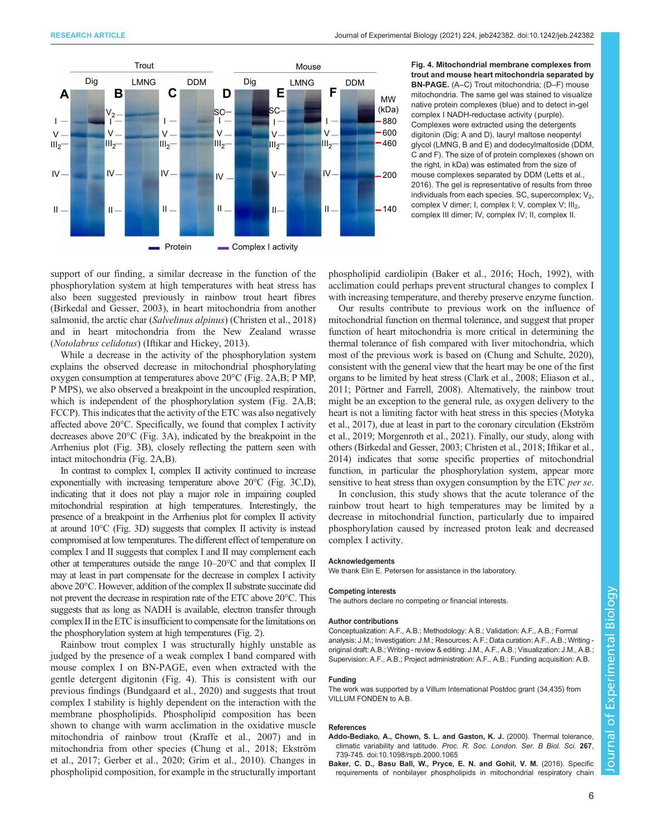<span id="page-5-0"></span>

Fig. 4. Mitochondrial membrane complexes from trout and mouse heart mitochondria separated by BN-PAGE. (A–C) Trout mitochondria; (D–F) mouse mitochondria. The same gel was stained to visualize native protein complexes (blue) and to detect in-gel complex I NADH-reductase activity (purple). Complexes were extracted using the detergents digitonin (Dig; A and D), lauryl maltose neopentyl glycol (LMNG, B and E) and dodecylmaltoside (DDM, C and F). The size of of protein complexes (shown on the right, in kDa) was estimated from the size of mouse complexes separated by DDM ([Letts et al.,](#page-6-0) [2016](#page-6-0)). The gel is representative of results from three individuals from each species. SC, supercomplex;  $V_2$ , complex V dimer; I, complex I; V, complex V;  $III<sub>2</sub>$ , complex III dimer; IV, complex IV; II, complex II.

support of our finding, a similar decrease in the function of the phosphorylation system at high temperatures with heat stress has also been suggested previously in rainbow trout heart fibres [\(Birkedal and Gesser, 2003\)](#page-6-0), in heart mitochondria from another salmonid, the arctic char (Salvelinus alpinus) ([Christen et al., 2018\)](#page-6-0) and in heart mitochondria from the New Zealand wrasse (Notolabrus celidotus) [\(Iftikar and Hickey, 2013\)](#page-6-0).

While a decrease in the activity of the phosphorylation system explains the observed decrease in mitochondrial phosphorylating oxygen consumption at temperatures above 20°C [\(Fig. 2A](#page-3-0),B; P MP, P MPS), we also observed a breakpoint in the uncoupled respiration, which is independent of the phosphorylation system ([Fig. 2](#page-3-0)A,B; FCCP). This indicates that the activity of the ETC was also negatively affected above 20°C. Specifically, we found that complex I activity decreases above 20°C [\(Fig. 3](#page-4-0)A), indicated by the breakpoint in the Arrhenius plot ([Fig. 3](#page-4-0)B), closely reflecting the pattern seen with intact mitochondria [\(Fig. 2](#page-3-0)A,B).

In contrast to complex I, complex II activity continued to increase exponentially with increasing temperature above 20°C [\(Fig. 3](#page-4-0)C,D), indicating that it does not play a major role in impairing coupled mitochondrial respiration at high temperatures. Interestingly, the presence of a breakpoint in the Arrhenius plot for complex II activity at around 10°C [\(Fig. 3D](#page-4-0)) suggests that complex II activity is instead compromised at low temperatures. The different effect of temperature on complex I and II suggests that complex I and II may complement each other at temperatures outside the range 10–20°C and that complex II may at least in part compensate for the decrease in complex I activity above 20°C. However, addition of the complex II substrate succinate did not prevent the decrease in respiration rate of the ETC above 20°C. This suggests that as long as NADH is available, electron transfer through complex II in the ETC is insufficient to compensate for the limitations on the phosphorylation system at high temperatures [\(Fig. 2](#page-3-0)).

Rainbow trout complex I was structurally highly unstable as judged by the presence of a weak complex I band compared with mouse complex I on BN-PAGE, even when extracted with the gentle detergent digitonin (Fig. 4). This is consistent with our previous findings [\(Bundgaard et al., 2020](#page-6-0)) and suggests that trout complex I stability is highly dependent on the interaction with the membrane phospholipids. Phospholipid composition has been shown to change with warm acclimation in the oxidative muscle mitochondria of rainbow trout [\(Kraffe et al., 2007](#page-6-0)) and in mitochondria from other species [\(Chung et al., 2018](#page-6-0); [Ekström](#page-6-0) [et al., 2017; Gerber et al., 2020; Grim et al., 2010](#page-6-0)). Changes in phospholipid composition, for example in the structurally important

phospholipid cardiolipin (Baker et al., 2016; [Hoch, 1992\)](#page-6-0), with acclimation could perhaps prevent structural changes to complex I with increasing temperature, and thereby preserve enzyme function.

Our results contribute to previous work on the influence of mitochondrial function on thermal tolerance, and suggest that proper function of heart mitochondria is more critical in determining the thermal tolerance of fish compared with liver mitochondria, which most of the previous work is based on ([Chung and Schulte, 2020\)](#page-6-0), consistent with the general view that the heart may be one of the first organs to be limited by heat stress ([Clark et al., 2008](#page-6-0); [Eliason et al.,](#page-6-0) [2011; Pörtner and Farrell, 2008](#page-6-0)). Alternatively, the rainbow trout might be an exception to the general rule, as oxygen delivery to the heart is not a limiting factor with heat stress in this species [\(Motyka](#page-6-0) [et al., 2017](#page-6-0)), due at least in part to the coronary circulation ([Ekström](#page-6-0) [et al., 2019](#page-6-0); [Morgenroth et al., 2021\)](#page-6-0). Finally, our study, along with others ([Birkedal and Gesser, 2003; Christen et al., 2018; Iftikar et al.,](#page-6-0) [2014\)](#page-6-0) indicates that some specific properties of mitochondrial function, in particular the phosphorylation system, appear more sensitive to heat stress than oxygen consumption by the ETC *per se*.

In conclusion, this study shows that the acute tolerance of the rainbow trout heart to high temperatures may be limited by a decrease in mitochondrial function, particularly due to impaired phosphorylation caused by increased proton leak and decreased complex I activity.

#### Acknowledgements

We thank Elin E. Petersen for assistance in the laboratory.

#### Competing interests

The authors declare no competing or financial interests.

#### Author contributions

Conceptualization: A.F., A.B.; Methodology: A.B.; Validation: A.F., A.B.; Formal analysis: J.M.; Investigation: J.M.; Resources: A.F.; Data curation: A.F., A.B.; Writing original draft: A.B.; Writing - review & editing: J.M., A.F., A.B.; Visualization: J.M., A.B.; Supervision: A.F., A.B.; Project administration: A.F., A.B.; Funding acquisition: A.B.

#### Funding

The work was supported by a Villum International Postdoc grant (34,435) from VILLUM FONDEN to A.B.

#### References

- [Addo-Bediako, A., Chown, S. L. and Gaston, K. J.](https://doi.org/10.1098/rspb.2000.1065) (2000). Thermal tolerance, climatic variability and latitude. [Proc. R. Soc. London. Ser. B Biol. Sci.](https://doi.org/10.1098/rspb.2000.1065) 267, [739-745. doi:10.1098/rspb.2000.1065](https://doi.org/10.1098/rspb.2000.1065)
- [Baker, C. D., Basu Ball, W., Pryce, E. N. and Gohil, V. M.](https://doi.org/10.1091/mbc.E15-12-0865) (2016). Specific [requirements of nonbilayer phospholipids in mitochondrial respiratory chain](https://doi.org/10.1091/mbc.E15-12-0865)